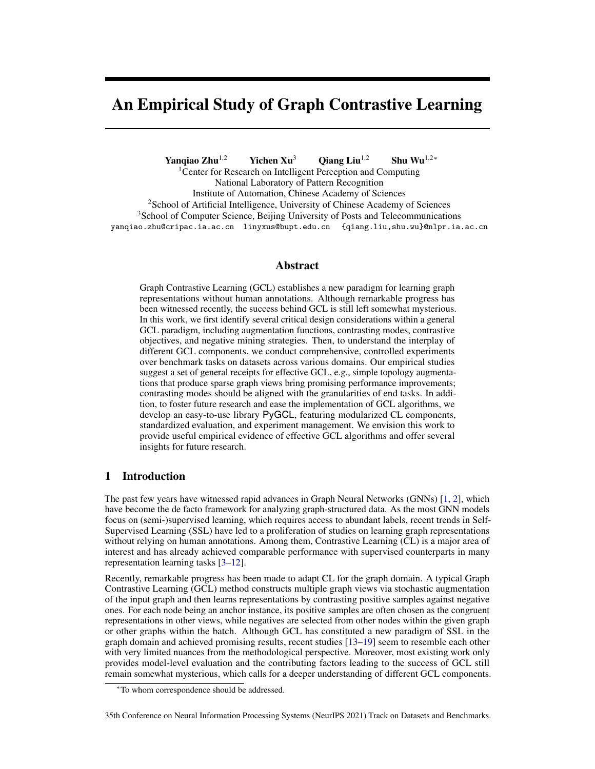# An Empirical Study of Graph Contrastive Learning

Yanqiao Zhu<sup>1,2</sup> Yichen Xu<sup>3</sup> Qiang Liu<sup>1,2</sup> Shu Wu<sup>1,2</sup> \*

<sup>1</sup> Center for Research on Intelligent Perception and Computing National Laboratory of Pattern Recognition Institute of Automation, Chinese Academy of Sciences <sup>2</sup>School of Artificial Intelligence, University of Chinese Academy of Sciences <sup>3</sup>School of Computer Science, Beijing University of Posts and Telecommunications yanqiao.zhu@cripac.ia.ac.cn linyxus@bupt.edu.cn {qiang.liu,shu.wu}@nlpr.ia.ac.cn

## Abstract

Graph Contrastive Learning (GCL) establishes a new paradigm for learning graph representations without human annotations. Although remarkable progress has been witnessed recently, the success behind GCL is still left somewhat mysterious. In this work, we first identify several critical design considerations within a general GCL paradigm, including augmentation functions, contrasting modes, contrastive objectives, and negative mining strategies. Then, to understand the interplay of different GCL components, we conduct comprehensive, controlled experiments over benchmark tasks on datasets across various domains. Our empirical studies suggest a set of general receipts for effective GCL, e.g., simple topology augmentations that produce sparse graph views bring promising performance improvements; contrasting modes should be aligned with the granularities of end tasks. In addition, to foster future research and ease the implementation of GCL algorithms, we develop an easy-to-use library PyGCL, featuring modularized CL components, standardized evaluation, and experiment management. We envision this work to provide useful empirical evidence of effective GCL algorithms and offer several insights for future research.

# 1 Introduction

The past few years have witnessed rapid advances in Graph Neural Networks (GNNs) [\[1,](#page-9-0) [2\]](#page-9-1), which have become the de facto framework for analyzing graph-structured data. As the most GNN models focus on (semi-)supervised learning, which requires access to abundant labels, recent trends in Self-Supervised Learning (SSL) have led to a proliferation of studies on learning graph representations without relying on human annotations. Among them, Contrastive Learning (CL) is a major area of interest and has already achieved comparable performance with supervised counterparts in many representation learning tasks [\[3–](#page-10-0)[12\]](#page-10-1).

Recently, remarkable progress has been made to adapt CL for the graph domain. A typical Graph Contrastive Learning (GCL) method constructs multiple graph views via stochastic augmentation of the input graph and then learns representations by contrasting positive samples against negative ones. For each node being an anchor instance, its positive samples are often chosen as the congruent representations in other views, while negatives are selected from other nodes within the given graph or other graphs within the batch. Although GCL has constituted a new paradigm of SSL in the graph domain and achieved promising results, recent studies [\[13](#page-10-2)[–19\]](#page-10-3) seem to resemble each other with very limited nuances from the methodological perspective. Moreover, most existing work only provides model-level evaluation and the contributing factors leading to the success of GCL still remain somewhat mysterious, which calls for a deeper understanding of different GCL components.

35th Conference on Neural Information Processing Systems (NeurIPS 2021) Track on Datasets and Benchmarks.

<sup>∗</sup>To whom correspondence should be addressed.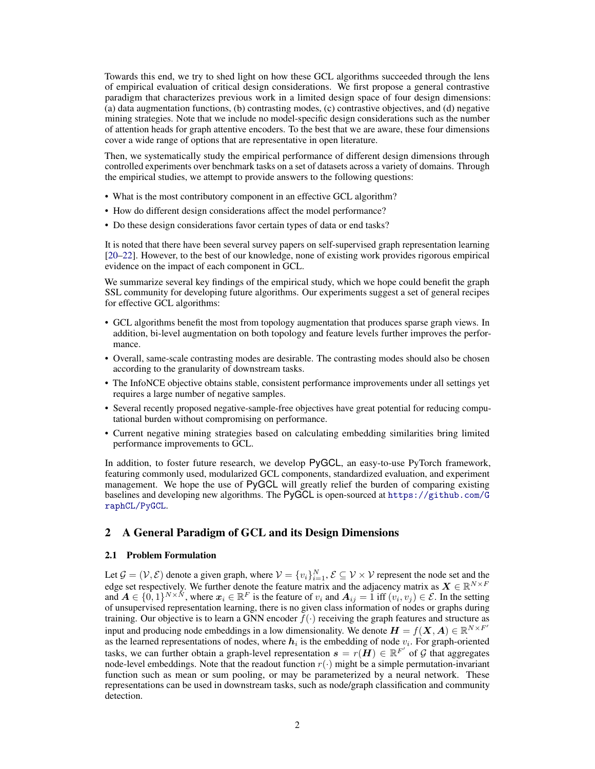Towards this end, we try to shed light on how these GCL algorithms succeeded through the lens of empirical evaluation of critical design considerations. We first propose a general contrastive paradigm that characterizes previous work in a limited design space of four design dimensions: (a) data augmentation functions, (b) contrasting modes, (c) contrastive objectives, and (d) negative mining strategies. Note that we include no model-specific design considerations such as the number of attention heads for graph attentive encoders. To the best that we are aware, these four dimensions cover a wide range of options that are representative in open literature.

Then, we systematically study the empirical performance of different design dimensions through controlled experiments over benchmark tasks on a set of datasets across a variety of domains. Through the empirical studies, we attempt to provide answers to the following questions:

- What is the most contributory component in an effective GCL algorithm?
- How do different design considerations affect the model performance?
- Do these design considerations favor certain types of data or end tasks?

It is noted that there have been several survey papers on self-supervised graph representation learning [\[20](#page-10-4)[–22\]](#page-10-5). However, to the best of our knowledge, none of existing work provides rigorous empirical evidence on the impact of each component in GCL.

We summarize several key findings of the empirical study, which we hope could benefit the graph SSL community for developing future algorithms. Our experiments suggest a set of general recipes for effective GCL algorithms:

- GCL algorithms benefit the most from topology augmentation that produces sparse graph views. In addition, bi-level augmentation on both topology and feature levels further improves the performance.
- Overall, same-scale contrasting modes are desirable. The contrasting modes should also be chosen according to the granularity of downstream tasks.
- The InfoNCE objective obtains stable, consistent performance improvements under all settings yet requires a large number of negative samples.
- Several recently proposed negative-sample-free objectives have great potential for reducing computational burden without compromising on performance.
- Current negative mining strategies based on calculating embedding similarities bring limited performance improvements to GCL.

In addition, to foster future research, we develop PyGCL, an easy-to-use PyTorch framework, featuring commonly used, modularized GCL components, standardized evaluation, and experiment management. We hope the use of PyGCL will greatly relief the burden of comparing existing baselines and developing new algorithms. The PyGCL is open-sourced at [https://github.com/G](https://github.com/GraphCL/PyGCL) [raphCL/PyGCL](https://github.com/GraphCL/PyGCL).

## 2 A General Paradigm of GCL and its Design Dimensions

#### 2.1 Problem Formulation

Let  $\mathcal{G} = (\mathcal{V}, \mathcal{E})$  denote a given graph, where  $\mathcal{V} = \{v_i\}_{i=1}^N$ ,  $\mathcal{E} \subseteq \mathcal{V} \times \mathcal{V}$  represent the node set and the edge set respectively. We further denote the feature matrix and the adjacency matrix as  $X \in \mathbb{R}^{N \times F}$ and  $A \in \{0,1\}^{N \times N}$ , where  $x_i \in \mathbb{R}^F$  is the feature of  $v_i$  and  $A_{ij} = 1$  iff  $(v_i, v_j) \in \mathcal{E}$ . In the setting of unsupervised representation learning, there is no given class information of nodes or graphs during training. Our objective is to learn a GNN encoder  $f(\cdot)$  receiving the graph features and structure as input and producing node embeddings in a low dimensionality. We denote  $H = f(X, A) \in \mathbb{R}^{N \times F'}$ as the learned representations of nodes, where  $h_i$  is the embedding of node  $v_i$ . For graph-oriented tasks, we can further obtain a graph-level representation  $s = r(H) \in \mathbb{R}^{F'}$  of G that aggregates node-level embeddings. Note that the readout function  $r(\cdot)$  might be a simple permutation-invariant function such as mean or sum pooling, or may be parameterized by a neural network. These representations can be used in downstream tasks, such as node/graph classification and community detection.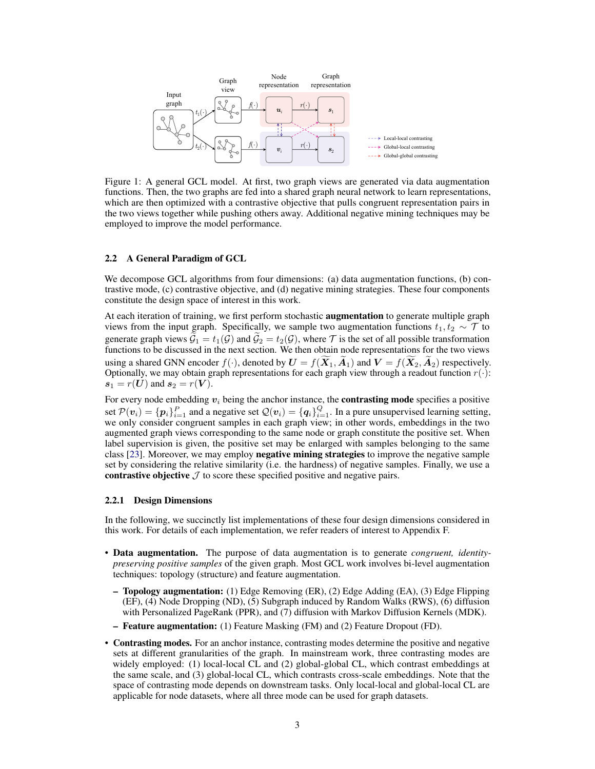

Figure 1: A general GCL model. At first, two graph views are generated via data augmentation functions. Then, the two graphs are fed into a shared graph neural network to learn representations, which are then optimized with a contrastive objective that pulls congruent representation pairs in the two views together while pushing others away. Additional negative mining techniques may be employed to improve the model performance.

#### 2.2 A General Paradigm of GCL

We decompose GCL algorithms from four dimensions: (a) data augmentation functions, (b) contrastive mode, (c) contrastive objective, and (d) negative mining strategies. These four components constitute the design space of interest in this work.

At each iteration of training, we first perform stochastic augmentation to generate multiple graph views from the input graph. Specifically, we sample two augmentation functions  $t_1, t_2 \sim \mathcal{T}$  to generate graph views  $\mathcal{G}_1 = t_1(\mathcal{G})$  and  $\mathcal{G}_2 = t_2(\mathcal{G})$ , where  $\mathcal T$  is the set of all possible transformation functions to be discussed in the next section. We then obtain node representations for the two views using a shared GNN encoder  $f(\cdot)$ , denoted by  $\mathbf{U} = f(\mathbf{X}_1, \mathbf{A}_1)$  and  $\mathbf{V} = f(\mathbf{X}_2, \mathbf{A}_2)$  respectively. Optionally, we may obtain graph representations for each graph view through a readout function  $r(\cdot)$ :  $s_1 = r(U)$  and  $s_2 = r(V)$ .

For every node embedding  $v_i$  being the anchor instance, the **contrasting mode** specifies a positive set  $P(v_i) = \{p_i\}_{i=1}^P$  and a negative set  $Q(v_i) = \{q_i\}_{i=1}^Q$ . In a pure unsupervised learning setting, we only consider congruent samples in each graph view; in other words, embeddings in the two augmented graph views corresponding to the same node or graph constitute the positive set. When label supervision is given, the positive set may be enlarged with samples belonging to the same class [\[23\]](#page-11-0). Moreover, we may employ negative mining strategies to improve the negative sample set by considering the relative similarity (i.e. the hardness) of negative samples. Finally, we use a contrastive objective  $\mathcal J$  to score these specified positive and negative pairs.

#### 2.2.1 Design Dimensions

In the following, we succinctly list implementations of these four design dimensions considered in this work. For details of each implementation, we refer readers of interest to Appendix F.

- Data augmentation. The purpose of data augmentation is to generate *congruent, identitypreserving positive samples* of the given graph. Most GCL work involves bi-level augmentation techniques: topology (structure) and feature augmentation.
	- Topology augmentation: (1) Edge Removing (ER), (2) Edge Adding (EA), (3) Edge Flipping (EF), (4) Node Dropping (ND), (5) Subgraph induced by Random Walks (RWS), (6) diffusion with Personalized PageRank (PPR), and (7) diffusion with Markov Diffusion Kernels (MDK).
	- Feature augmentation: (1) Feature Masking (FM) and (2) Feature Dropout (FD).
- Contrasting modes. For an anchor instance, contrasting modes determine the positive and negative sets at different granularities of the graph. In mainstream work, three contrasting modes are widely employed: (1) local-local CL and (2) global-global CL, which contrast embeddings at the same scale, and (3) global-local CL, which contrasts cross-scale embeddings. Note that the space of contrasting mode depends on downstream tasks. Only local-local and global-local CL are applicable for node datasets, where all three mode can be used for graph datasets.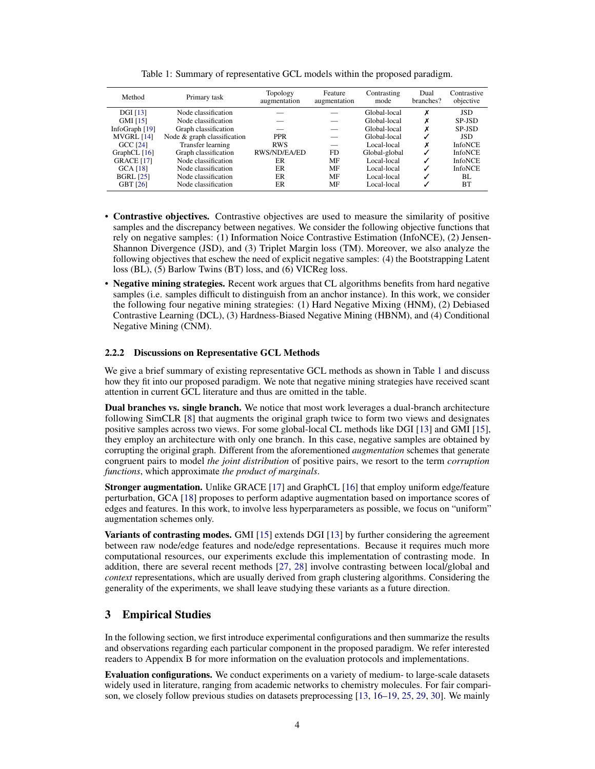<span id="page-3-0"></span>

| Method            | Primary task                | Topology<br>augmentation | Feature<br>augmentation | Contrasting<br>mode | Dual<br>branches? | Contrastive<br>objective |
|-------------------|-----------------------------|--------------------------|-------------------------|---------------------|-------------------|--------------------------|
| <b>DGI</b> [13]   | Node classification         |                          |                         | Global-local        | х                 | <b>JSD</b>               |
| GMI [15]          | Node classification         |                          |                         | Global-local        |                   | SP-JSD                   |
| InfoGraph [19]    | Graph classification        |                          |                         | Global-local        |                   | SP-JSD                   |
| MVGRL [14]        | Node & graph classification | <b>PPR</b>               |                         | Global-local        |                   | <b>JSD</b>               |
| <b>GCC [24]</b>   | Transfer learning           | <b>RWS</b>               |                         | Local-local         | х                 | <b>InfoNCE</b>           |
| GraphCL $[16]$    | Graph classification        | RWS/ND/EA/ED             | <b>FD</b>               | Global-global       | J                 | <b>InfoNCE</b>           |
| <b>GRACE</b> [17] | Node classification         | ER                       | MF                      | Local-local         | J                 | <b>InfoNCE</b>           |
| <b>GCA</b> [18]   | Node classification         | ER                       | MF                      | Local-local         |                   | <b>InfoNCE</b>           |
| <b>BGRL</b> [25]  | Node classification         | ER                       | MF                      | Local-local         | ✓                 | BL                       |
| <b>GBT [26]</b>   | Node classification         | ER                       | MF                      | Local-local         |                   | <b>BT</b>                |

Table 1: Summary of representative GCL models within the proposed paradigm.

- Contrastive objectives. Contrastive objectives are used to measure the similarity of positive samples and the discrepancy between negatives. We consider the following objective functions that rely on negative samples: (1) Information Noice Contrastive Estimation (InfoNCE), (2) Jensen-Shannon Divergence (JSD), and (3) Triplet Margin loss (TM). Moreover, we also analyze the following objectives that eschew the need of explicit negative samples: (4) the Bootstrapping Latent loss (BL), (5) Barlow Twins (BT) loss, and (6) VICReg loss.
- Negative mining strategies. Recent work argues that CL algorithms benefits from hard negative samples (i.e. samples difficult to distinguish from an anchor instance). In this work, we consider the following four negative mining strategies: (1) Hard Negative Mixing (HNM), (2) Debiased Contrastive Learning (DCL), (3) Hardness-Biased Negative Mining (HBNM), and (4) Conditional Negative Mining (CNM).

#### 2.2.2 Discussions on Representative GCL Methods

We give a brief summary of existing representative GCL methods as shown in Table [1](#page-3-0) and discuss how they fit into our proposed paradigm. We note that negative mining strategies have received scant attention in current GCL literature and thus are omitted in the table.

Dual branches vs. single branch. We notice that most work leverages a dual-branch architecture following SimCLR [\[8\]](#page-10-11) that augments the original graph twice to form two views and designates positive samples across two views. For some global-local CL methods like DGI [\[13\]](#page-10-2) and GMI [\[15\]](#page-10-6), they employ an architecture with only one branch. In this case, negative samples are obtained by corrupting the original graph. Different from the aforementioned *augmentation* schemes that generate congruent pairs to model *the joint distribution* of positive pairs, we resort to the term *corruption functions*, which approximate *the product of marginals*.

Stronger augmentation. Unlike GRACE [\[17\]](#page-10-9) and GraphCL [\[16\]](#page-10-8) that employ uniform edge/feature perturbation, GCA [\[18\]](#page-10-10) proposes to perform adaptive augmentation based on importance scores of edges and features. In this work, to involve less hyperparameters as possible, we focus on "uniform" augmentation schemes only.

Variants of contrasting modes. GMI [\[15\]](#page-10-6) extends DGI [\[13\]](#page-10-2) by further considering the agreement between raw node/edge features and node/edge representations. Because it requires much more computational resources, our experiments exclude this implementation of contrasting mode. In addition, there are several recent methods [\[27,](#page-11-4) [28\]](#page-11-5) involve contrasting between local/global and *context* representations, which are usually derived from graph clustering algorithms. Considering the generality of the experiments, we shall leave studying these variants as a future direction.

# 3 Empirical Studies

In the following section, we first introduce experimental configurations and then summarize the results and observations regarding each particular component in the proposed paradigm. We refer interested readers to Appendix B for more information on the evaluation protocols and implementations.

Evaluation configurations. We conduct experiments on a variety of medium- to large-scale datasets widely used in literature, ranging from academic networks to chemistry molecules. For fair comparison, we closely follow previous studies on datasets preprocessing [\[13,](#page-10-2) [16–](#page-10-8)[19,](#page-10-3) [25,](#page-11-2) [29,](#page-11-6) [30\]](#page-11-7). We mainly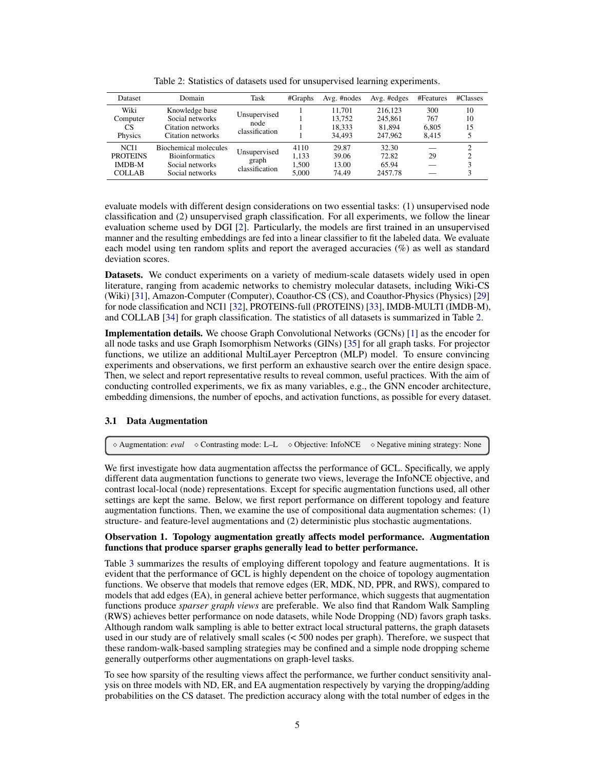<span id="page-4-0"></span>

| Dataset                                                   | Domain                                                                                      | Task                                    | #Graphs                         | Avg. #nodes                          | Avg. #edges                             | #Features                    | #Classes       |
|-----------------------------------------------------------|---------------------------------------------------------------------------------------------|-----------------------------------------|---------------------------------|--------------------------------------|-----------------------------------------|------------------------------|----------------|
| Wiki<br>Computer<br>CS<br>Physics                         | Knowledge base<br>Social networks<br>Citation networks<br>Citation networks                 | Unsupervised<br>node<br>classification  |                                 | 11.701<br>13.752<br>18.333<br>34.493 | 216.123<br>245.861<br>81.894<br>247,962 | 300<br>767<br>6.805<br>8.415 | 10<br>10<br>15 |
| NCI1<br><b>PROTEINS</b><br><b>IMDB-M</b><br><b>COLLAB</b> | <b>Biochemical molecules</b><br><b>Bioinformatics</b><br>Social networks<br>Social networks | Unsupervised<br>graph<br>classification | 4110<br>1.133<br>1.500<br>5.000 | 29.87<br>39.06<br>13.00<br>74.49     | 32.30<br>72.82<br>65.94<br>2457.78      | 29                           | ◠<br>◠         |

Table 2: Statistics of datasets used for unsupervised learning experiments.

evaluate models with different design considerations on two essential tasks: (1) unsupervised node classification and (2) unsupervised graph classification. For all experiments, we follow the linear evaluation scheme used by DGI [\[2\]](#page-9-1). Particularly, the models are first trained in an unsupervised manner and the resulting embeddings are fed into a linear classifier to fit the labeled data. We evaluate each model using ten random splits and report the averaged accuracies (%) as well as standard deviation scores.

Datasets. We conduct experiments on a variety of medium-scale datasets widely used in open literature, ranging from academic networks to chemistry molecular datasets, including Wiki-CS (Wiki) [\[31\]](#page-11-8), Amazon-Computer (Computer), Coauthor-CS (CS), and Coauthor-Physics (Physics) [\[29\]](#page-11-6) for node classification and NCI1 [\[32\]](#page-11-9), PROTEINS-full (PROTEINS) [\[33\]](#page-11-10), IMDB-MULTI (IMDB-M), and COLLAB [\[34\]](#page-11-11) for graph classification. The statistics of all datasets is summarized in Table [2.](#page-4-0)

Implementation details. We choose Graph Convolutional Networks (GCNs) [\[1\]](#page-9-0) as the encoder for all node tasks and use Graph Isomorphism Networks (GINs) [\[35\]](#page-11-12) for all graph tasks. For projector functions, we utilize an additional MultiLayer Perceptron (MLP) model. To ensure convincing experiments and observations, we first perform an exhaustive search over the entire design space. Then, we select and report representative results to reveal common, useful practices. With the aim of conducting controlled experiments, we fix as many variables, e.g., the GNN encoder architecture, embedding dimensions, the number of epochs, and activation functions, as possible for every dataset.

## 3.1 Data Augmentation

<sup>⋄</sup> Augmentation: *eval* <sup>⋄</sup> Contrasting mode: L–L <sup>⋄</sup> Objective: InfoNCE <sup>⋄</sup> Negative mining strategy: None

We first investigate how data augmentation affectss the performance of GCL. Specifically, we apply different data augmentation functions to generate two views, leverage the InfoNCE objective, and contrast local-local (node) representations. Except for specific augmentation functions used, all other settings are kept the same. Below, we first report performance on different topology and feature augmentation functions. Then, we examine the use of compositional data augmentation schemes: (1) structure- and feature-level augmentations and (2) deterministic plus stochastic augmentations.

#### Observation 1. Topology augmentation greatly affects model performance. Augmentation functions that produce sparser graphs generally lead to better performance.

Table [3](#page-5-0) summarizes the results of employing different topology and feature augmentations. It is evident that the performance of GCL is highly dependent on the choice of topology augmentation functions. We observe that models that remove edges (ER, MDK, ND, PPR, and RWS), compared to models that add edges (EA), in general achieve better performance, which suggests that augmentation functions produce *sparser graph views* are preferable. We also find that Random Walk Sampling (RWS) achieves better performance on node datasets, while Node Dropping (ND) favors graph tasks. Although random walk sampling is able to better extract local structural patterns, the graph datasets used in our study are of relatively small scales (< 500 nodes per graph). Therefore, we suspect that these random-walk-based sampling strategies may be confined and a simple node dropping scheme generally outperforms other augmentations on graph-level tasks.

To see how sparsity of the resulting views affect the performance, we further conduct sensitivity analysis on three models with ND, ER, and EA augmentation respectively by varying the dropping/adding probabilities on the CS dataset. The prediction accuracy along with the total number of edges in the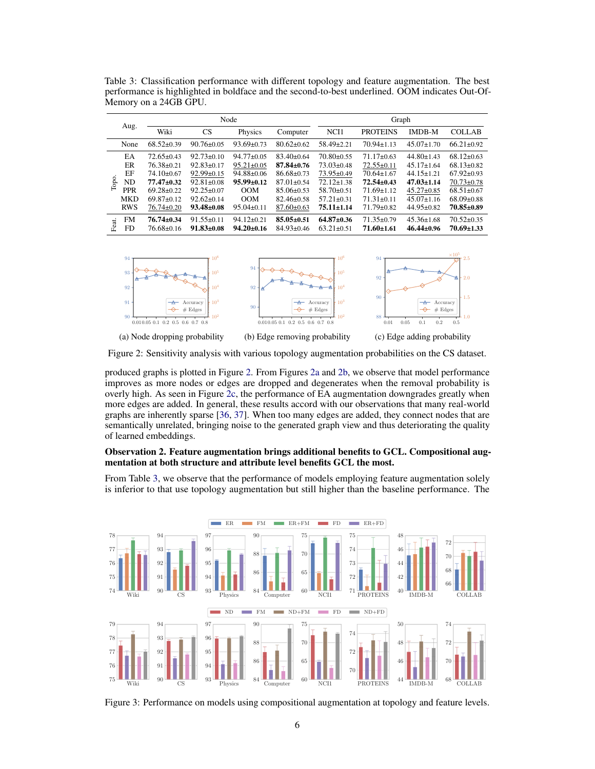<span id="page-5-0"></span>Table 3: Classification performance with different topology and feature augmentation. The best performance is highlighted in boldface and the second-to-best underlined. OOM indicates Out-Of-Memory on a 24GB GPU.

|                  |                  |                  |                          | Graph            |                  |                  |                                    |  |
|------------------|------------------|------------------|--------------------------|------------------|------------------|------------------|------------------------------------|--|
| Wiki             | <b>CS</b>        | Physics          | Computer                 | NCI1             | <b>PROTEINS</b>  | <b>IMDB-M</b>    | <b>COLLAB</b>                      |  |
| $68.52 \pm 0.39$ | $90.76 \pm 0.05$ | $93.69 \pm 0.73$ | $80.62 \pm 0.62$         | 58.49±2.21       | $70.94 \pm 1.13$ | $45.07 \pm 1.70$ | $66.21 \pm 0.92$                   |  |
| $72.65 \pm 0.43$ | $92.73 \pm 0.10$ | $94.77 \pm 0.05$ | $83.40 \pm 0.64$         | $70.80 \pm 0.55$ | $71.17 \pm 0.63$ | $44.80 \pm 1.43$ | $68.12 \pm 0.63$                   |  |
| $76.38 \pm 0.21$ | $92.83 \pm 0.17$ | $95.21 \pm 0.05$ | $87.84 \pm 0.76$         | $73.03 \pm 0.48$ | $72.55 \pm 0.11$ | $45.17 \pm 1.64$ | $68.13 \pm 0.82$                   |  |
| $74.10 \pm 0.67$ | $92.99 \pm 0.15$ | $94.88 \pm 0.06$ | $86.68 \pm 0.73$         | $73.95 \pm 0.49$ | $70.64 \pm 1.67$ | $44.15 \pm 1.21$ | $67.92 \pm 0.93$                   |  |
| $77.47 \pm 0.32$ | $92.81 \pm 0.08$ | $95.99 \pm 0.12$ | $87.01 \pm 0.54$         | $72.12 \pm 1.38$ | $72.54 \pm 0.43$ | $47.03 \pm 1.14$ | $70.73 \pm 0.78$                   |  |
| $69.28 \pm 0.22$ | $92.25 \pm 0.07$ | OM               | $85.06 \pm 0.53$         | $58.70 \pm 0.51$ | $71.69 \pm 1.12$ | $45.27 \pm 0.85$ | $68.51 \pm 0.67$                   |  |
| $69.87 \pm 0.12$ | $92.62 \pm 0.14$ | OM               | $82.46 \pm 0.58$         | $57.21 \pm 0.31$ | $71.31 \pm 0.11$ | $45.07 \pm 1.16$ | $68.09 \pm 0.88$                   |  |
| $76.74 \pm 0.20$ | $93.48 \pm 0.08$ | $95.04 \pm 0.11$ | 87.60±0.63               | $75.11 \pm 1.14$ | $71.79 \pm 0.82$ | $44.95 \pm 0.82$ | $70.85 \pm 0.89$                   |  |
| $76.74 \pm 0.34$ | $91.55 \pm 0.11$ | $94.12 \pm 0.21$ | $85.05 \pm 0.51$         | $64.87 \pm 0.36$ | $71.35 \pm 0.79$ | $45.36 \pm 1.68$ | $70.52 + 0.35$<br>$70.69 \pm 1.33$ |  |
|                  | $76.68 \pm 0.16$ | $91.83 \pm 0.08$ | Node<br>$94.20 \pm 0.16$ | 84.93±0.46       | $63.21 \pm 0.51$ | $71.60 \pm 1.61$ | $46.44 \pm 0.96$                   |  |

<span id="page-5-2"></span><span id="page-5-1"></span>

<span id="page-5-4"></span><span id="page-5-3"></span>Figure 2: Sensitivity analysis with various topology augmentation probabilities on the CS dataset.

produced graphs is plotted in Figure [2.](#page-5-1) From Figures [2a](#page-5-2) and [2b,](#page-5-3) we observe that model performance improves as more nodes or edges are dropped and degenerates when the removal probability is overly high. As seen in Figure [2c,](#page-5-4) the performance of EA augmentation downgrades greatly when more edges are added. In general, these results accord with our observations that many real-world graphs are inherently sparse [\[36,](#page-11-13) [37\]](#page-11-14). When too many edges are added, they connect nodes that are semantically unrelated, bringing noise to the generated graph view and thus deteriorating the quality of learned embeddings.

#### Observation 2. Feature augmentation brings additional benefits to GCL. Compositional augmentation at both structure and attribute level benefits GCL the most.

From Table [3,](#page-5-0) we observe that the performance of models employing feature augmentation solely is inferior to that use topology augmentation but still higher than the baseline performance. The

<span id="page-5-5"></span>

Figure 3: Performance on models using compositional augmentation at topology and feature levels.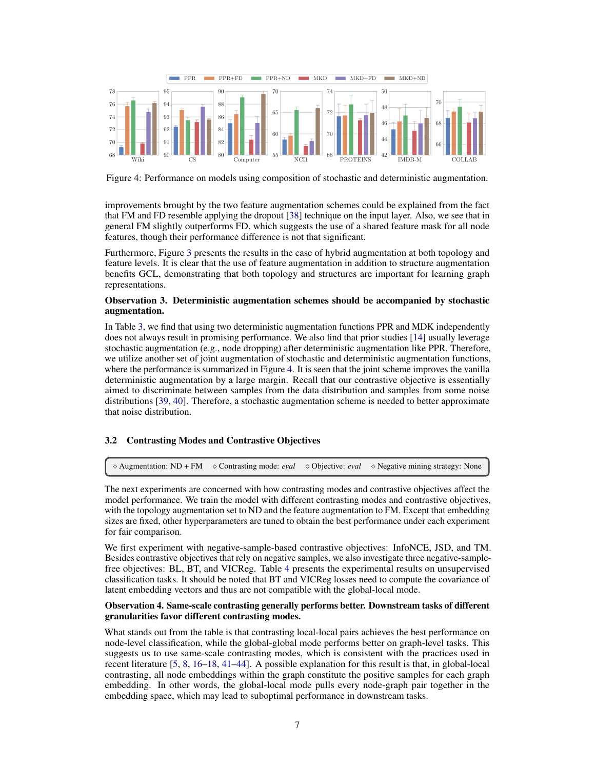<span id="page-6-0"></span>

Figure 4: Performance on models using composition of stochastic and deterministic augmentation.

improvements brought by the two feature augmentation schemes could be explained from the fact that FM and FD resemble applying the dropout [\[38\]](#page-11-15) technique on the input layer. Also, we see that in general FM slightly outperforms FD, which suggests the use of a shared feature mask for all node features, though their performance difference is not that significant.

Furthermore, Figure [3](#page-5-5) presents the results in the case of hybrid augmentation at both topology and feature levels. It is clear that the use of feature augmentation in addition to structure augmentation benefits GCL, demonstrating that both topology and structures are important for learning graph representations.

#### Observation 3. Deterministic augmentation schemes should be accompanied by stochastic augmentation.

In Table [3,](#page-5-0) we find that using two deterministic augmentation functions PPR and MDK independently does not always result in promising performance. We also find that prior studies [\[14\]](#page-10-7) usually leverage stochastic augmentation (e.g., node dropping) after deterministic augmentation like PPR. Therefore, we utilize another set of joint augmentation of stochastic and deterministic augmentation functions, where the performance is summarized in Figure [4.](#page-6-0) It is seen that the joint scheme improves the vanilla deterministic augmentation by a large margin. Recall that our contrastive objective is essentially aimed to discriminate between samples from the data distribution and samples from some noise distributions [\[39,](#page-11-16) [40\]](#page-11-17). Therefore, a stochastic augmentation scheme is needed to better approximate that noise distribution.

## 3.2 Contrasting Modes and Contrastive Objectives

<sup>⋄</sup> Augmentation: ND + FM <sup>⋄</sup> Contrasting mode: *eval* <sup>⋄</sup> Objective: *eval* <sup>⋄</sup> Negative mining strategy: None

The next experiments are concerned with how contrasting modes and contrastive objectives affect the model performance. We train the model with different contrasting modes and contrastive objectives, with the topology augmentation set to ND and the feature augmentation to FM. Except that embedding sizes are fixed, other hyperparameters are tuned to obtain the best performance under each experiment for fair comparison.

We first experiment with negative-sample-based contrastive objectives: InfoNCE, JSD, and TM. Besides contrastive objectives that rely on negative samples, we also investigate three negative-samplefree objectives: BL, BT, and VICReg. Table [4](#page-7-0) presents the experimental results on unsupervised classification tasks. It should be noted that BT and VICReg losses need to compute the covariance of latent embedding vectors and thus are not compatible with the global-local mode.

#### Observation 4. Same-scale contrasting generally performs better. Downstream tasks of different granularities favor different contrasting modes.

What stands out from the table is that contrasting local-local pairs achieves the best performance on node-level classification, while the global-global mode performs better on graph-level tasks. This suggests us to use same-scale contrasting modes, which is consistent with the practices used in recent literature [\[5,](#page-10-12) [8,](#page-10-11) [16](#page-10-8)[–18,](#page-10-10) [41](#page-11-18)[–44\]](#page-12-0). A possible explanation for this result is that, in global-local contrasting, all node embeddings within the graph constitute the positive samples for each graph embedding. In other words, the global-local mode pulls every node-graph pair together in the embedding space, which may lead to suboptimal performance in downstream tasks.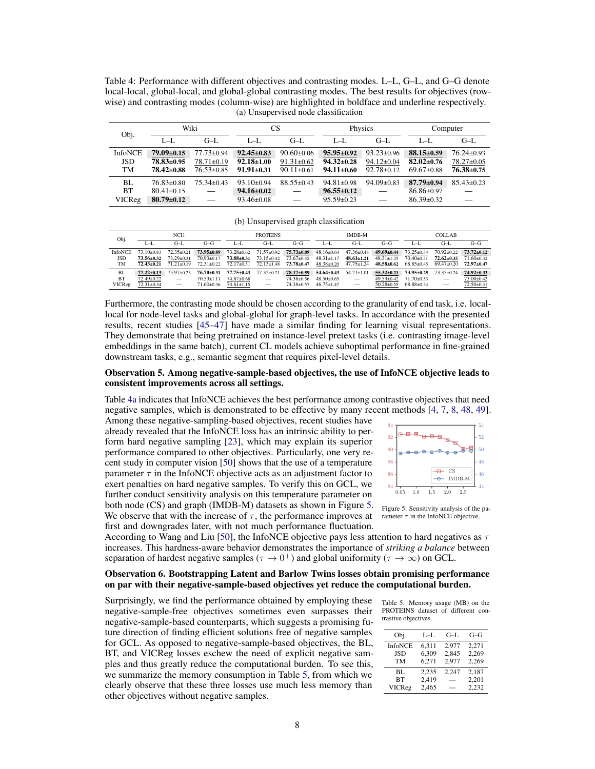<span id="page-7-0"></span>Table 4: Performance with different objectives and contrasting modes. L–L, G–L, and G–G denote local-local, global-local, and global-global contrasting modes. The best results for objectives (rowwise) and contrasting modes (column-wise) are highlighted in boldface and underline respectively. (a) Unsupervised node classification

<span id="page-7-1"></span>

| Obj.                        |                                                          | Wiki                                                     | CS                                                       |                                                          |                                                          | Physics                                                  | Computer                                                 |                                                          |
|-----------------------------|----------------------------------------------------------|----------------------------------------------------------|----------------------------------------------------------|----------------------------------------------------------|----------------------------------------------------------|----------------------------------------------------------|----------------------------------------------------------|----------------------------------------------------------|
|                             | $L - L$                                                  | $G-I$ .                                                  | $L-L$                                                    | $G-I$ .                                                  | $L-L$                                                    | $G-I$ .                                                  | $L-L$                                                    | $G-I$ .                                                  |
| <b>InfoNCE</b><br>JSD<br>TM | $79.09 \pm 0.15$<br>78.83±0.95<br>$78.42 \pm 0.88$       | $77.73 \pm 0.94$<br>$78.71 \pm 0.19$<br>$76.53 \pm 0.85$ | $92.45 \pm 0.83$<br>$92.18 \pm 1.00$<br>$91.91 \pm 0.31$ | $90.60 \pm 0.06$<br>$91.31 \pm 0.62$<br>$90.11 \pm 0.61$ | $95.95 \pm 0.92$<br>$94.32 \pm 0.28$<br>$94.11 \pm 0.60$ | $93.23 \pm 0.96$<br>$94.12 \pm 0.04$<br>$92.78 \pm 0.12$ | $88.15 \pm 0.59$<br>$82.02 \pm 0.76$<br>$69.67 \pm 0.88$ | $76.24 \pm 0.93$<br>$78.27 \pm 0.05$<br>$76.38 \pm 0.75$ |
| BL<br><b>BT</b><br>VICReg   | $76.83 \pm 0.80$<br>$80.41 \pm 0.15$<br>$80.79 \pm 0.12$ | $75.34 \pm 0.43$<br>$\overline{\phantom{m}}$             | $93.10 \pm 0.94$<br>$94.16 \pm 0.02$<br>$93.46 \pm 0.08$ | $88.55 \pm 0.43$                                         | $94.81 \pm 0.98$<br>$96.55 \pm 0.12$<br>$95.59 \pm 0.23$ | $94.09 \pm 0.83$<br>$\overline{\phantom{0}}$             | $87.79 \pm 0.94$<br>$86.86 \pm 0.97$<br>$86.39 \pm 0.32$ | $85.43 \pm 0.23$                                         |

(b) Unsupervised graph classification

| Obj.           | NCH <sub>1</sub> |                                 |                  | <b>PROTEINS</b>  |                          | IMDB-M           |                  |                          | <b>COLLAB</b>    |                  |                                 |                  |
|----------------|------------------|---------------------------------|------------------|------------------|--------------------------|------------------|------------------|--------------------------|------------------|------------------|---------------------------------|------------------|
|                | L-L              | G–L                             | $G-G$            | L-L              | $G-L$                    | G-G              | L–L              | $G-I$ .                  | G–G              | L-L              | $G-L$                           | $G-G$            |
| <b>InfoNCE</b> | 73.10+0.83       | $72.35 + 0.21$                  | 73.95±0.89       | $73.28 \pm 0.62$ | $71.57 \pm 0.92$         | $75.73 \pm 0.09$ | $48.16 \pm 0.64$ | $47.36 \pm 0.48$         | $49.69 \pm 0.44$ | $73.25 \pm 0.34$ | $70.92 \pm 0.22$                | $73.72 \pm 0.12$ |
| JSD            | $73.56 \pm 0.32$ | $73.29 \pm 0.31$                | $70.93 \pm 0.17$ | $73.88 \pm 0.31$ | $73.15 \pm 0.42$         | $73.67 \pm 0.45$ | $48.31 \pm 1.17$ | $48.61 \pm 1.21$         | $48.31 \pm 1.35$ | $70.40 \pm 0.31$ | $72.62 \pm 0.35$                | $71.60 \pm 0.32$ |
| <b>TM</b>      | $72.43 + 0.21$   | $71.21 + 0.19$                  | $72.31 \pm 0.22$ | $72.17 \pm 0.51$ | $72.13 \pm 1.48$         | $73.78 \pm 0.47$ | $48.38 \pm 0.20$ | $47.75 \pm 1.24$         | $48.58 \pm 0.62$ | $68.85 \pm 0.45$ | $69.47 \pm 0.20$                | $72.97 + 0.47$   |
| BL             | $77.22 \pm 0.13$ | $75.97 + 0.23$                  | 76.70+0.31       | $77.75 + 0.43$   | $77.32 + 0.21$           | $78.17 \pm 0.59$ | $54.64 \pm 0.43$ | $54.21 \pm 1.01$         | $55.32 \pm 0.21$ | $73.95 + 0.25$   | $73.35 \pm 0.24$                | $74.92 \pm 0.33$ |
| <b>BT</b>      | 72.49±0.22       | $\hspace{0.1mm}-\hspace{0.1mm}$ | $70.53 \pm 1.11$ | 74.87±0.68       |                          | 74.38±0.56       | $48.50 \pm 0.65$ | $\overline{\phantom{m}}$ | $49.53 \pm 0.42$ | $71.70 \pm 0.53$ | $\hspace{0.1mm}-\hspace{0.1mm}$ | $73.00 \pm 0.42$ |
| VICReg         | $72.31 \pm 0.34$ | $\overline{\phantom{0}}$        | $71.60 \pm 0.36$ | $74.61 \pm 1.15$ | $\overline{\phantom{m}}$ | 74.38±0.57       | $46.75 + 1.47$   |                          | $50.28 \pm 0.55$ | $68.88 \pm 0.34$ | $\overline{\phantom{0}}$        | 72.50±0.31       |

Furthermore, the contrasting mode should be chosen according to the granularity of end task, i.e. locallocal for node-level tasks and global-global for graph-level tasks. In accordance with the presented results, recent studies [\[45–](#page-12-1)[47\]](#page-12-2) have made a similar finding for learning visual representations. They demonstrate that being pretrained on instance-level pretext tasks (i.e. contrasting image-level embeddings in the same batch), current CL models achieve suboptimal performance in fine-grained downstream tasks, e.g., semantic segment that requires pixel-level details.

#### Observation 5. Among negative-sample-based objectives, the use of InfoNCE objective leads to consistent improvements across all settings.

Table [4a](#page-7-1) indicates that InfoNCE achieves the best performance among contrastive objectives that need negative samples, which is demonstrated to be effective by many recent methods [\[4,](#page-10-13) [7,](#page-10-14) [8,](#page-10-11) [48,](#page-12-3) [49\]](#page-12-4).

Among these negative-sampling-based objectives, recent studies have already revealed that the InfoNCE loss has an intrinsic ability to perform hard negative sampling [\[23\]](#page-11-0), which may explain its superior performance compared to other objectives. Particularly, one very recent study in computer vision [\[50\]](#page-12-5) shows that the use of a temperature parameter  $\tau$  in the InfoNCE objective acts as an adjustment factor to exert penalties on hard negative samples. To verify this on GCL, we further conduct sensitivity analysis on this temperature parameter on both node (CS) and graph (IMDB-M) datasets as shown in Figure [5.](#page-7-2)

We observe that with the increase of  $\tau$ , the performance improves at first and downgrades later, with not much performance fluctuation.

<span id="page-7-2"></span>

Figure 5: Sensitivity analysis of the parameter  $\tau$  in the InfoNCE objective.

According to Wang and Liu [\[50\]](#page-12-5), the InfoNCE objective pays less attention to hard negatives as  $\tau$ increases. This hardness-aware behavior demonstrates the importance of *striking a balance* between separation of hardest negative samples ( $\tau \to 0^+$ ) and global uniformity ( $\tau \to \infty$ ) on GCL.

#### Observation 6. Bootstrapping Latent and Barlow Twins losses obtain promising performance on par with their negative-sample-based objectives yet reduce the computational burden.

Surprisingly, we find the performance obtained by employing these negative-sample-free objectives sometimes even surpasses their negative-sample-based counterparts, which suggests a promising future direction of finding efficient solutions free of negative samples for GCL. As opposed to negative-sample-based objectives, the BL, BT, and VICReg losses eschew the need of explicit negative samples and thus greatly reduce the computational burden. To see this, we summarize the memory consumption in Table [5,](#page-7-3) from which we clearly observe that these three losses use much less memory than other objectives without negative samples.

<span id="page-7-3"></span>Table 5: Memory usage (MB) on the PROTEINS dataset of different contrastive objectives.

| Obj.           | L–L   | $G-I$ | $G-G$ |
|----------------|-------|-------|-------|
| <b>InfoNCE</b> | 6,311 | 2.977 | 2,271 |
| <b>JSD</b>     | 6,309 | 2,845 | 2,269 |
| <b>TM</b>      | 6.271 | 2.977 | 2,269 |
| BL             | 2,235 | 2,247 | 2,187 |
| <b>BT</b>      | 2,419 |       | 2,201 |
| VICReg         | 2.465 |       | 2.232 |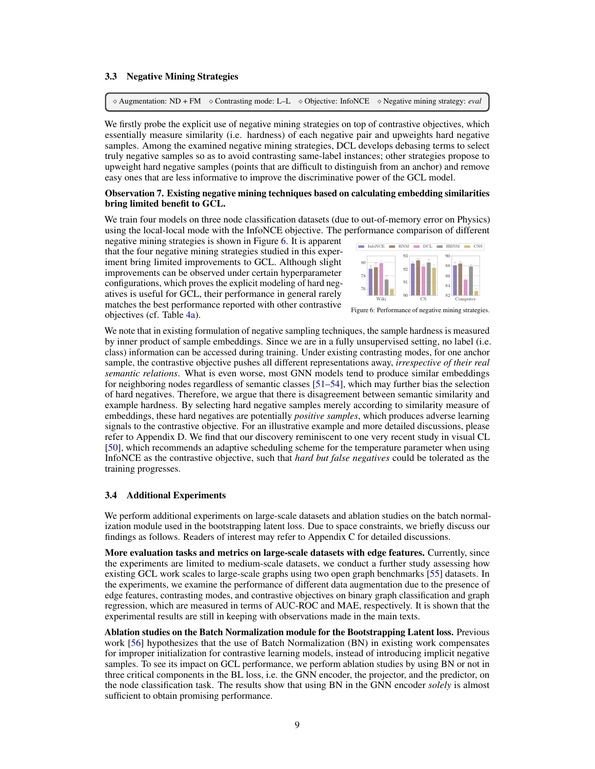#### 3.3 Negative Mining Strategies

<sup>⋄</sup> Augmentation: ND + FM <sup>⋄</sup> Contrasting mode: L–L <sup>⋄</sup> Objective: InfoNCE <sup>⋄</sup> Negative mining strategy: *eval*

We firstly probe the explicit use of negative mining strategies on top of contrastive objectives, which essentially measure similarity (i.e. hardness) of each negative pair and upweights hard negative samples. Among the examined negative mining strategies, DCL develops debasing terms to select truly negative samples so as to avoid contrasting same-label instances; other strategies propose to upweight hard negative samples (points that are difficult to distinguish from an anchor) and remove easy ones that are less informative to improve the discriminative power of the GCL model.

#### Observation 7. Existing negative mining techniques based on calculating embedding similarities bring limited benefit to GCL.

We train four models on three node classification datasets (due to out-of-memory error on Physics) using the local-local mode with the InfoNCE objective. The performance comparison of different

negative mining strategies is shown in Figure [6.](#page-8-0) It is apparent that the four negative mining strategies studied in this experiment bring limited improvements to GCL. Although slight improvements can be observed under certain hyperparameter configurations, which proves the explicit modeling of hard negatives is useful for GCL, their performance in general rarely matches the best performance reported with other contrastive objectives (cf. Table [4a\)](#page-7-1).

<span id="page-8-0"></span>

Figure 6: Performance of negative mining strategies.

We note that in existing formulation of negative sampling techniques, the sample hardness is measured by inner product of sample embeddings. Since we are in a fully unsupervised setting, no label (i.e. class) information can be accessed during training. Under existing contrasting modes, for one anchor sample, the contrastive objective pushes all different representations away, *irrespective of their real semantic relations*. What is even worse, most GNN models tend to produce similar embeddings for neighboring nodes regardless of semantic classes [\[51–](#page-12-6)[54\]](#page-12-7), which may further bias the selection of hard negatives. Therefore, we argue that there is disagreement between semantic similarity and example hardness. By selecting hard negative samples merely according to similarity measure of embeddings, these hard negatives are potentially *positive samples*, which produces adverse learning signals to the contrastive objective. For an illustrative example and more detailed discussions, please refer to Appendix D. We find that our discovery reminiscent to one very recent study in visual CL [\[50\]](#page-12-5), which recommends an adaptive scheduling scheme for the temperature parameter when using InfoNCE as the contrastive objective, such that *hard but false negatives* could be tolerated as the training progresses.

## 3.4 Additional Experiments

We perform additional experiments on large-scale datasets and ablation studies on the batch normalization module used in the bootstrapping latent loss. Due to space constraints, we briefly discuss our findings as follows. Readers of interest may refer to Appendix C for detailed discussions.

More evaluation tasks and metrics on large-scale datasets with edge features. Currently, since the experiments are limited to medium-scale datasets, we conduct a further study assessing how existing GCL work scales to large-scale graphs using two open graph benchmarks [\[55\]](#page-12-8) datasets. In the experiments, we examine the performance of different data augmentation due to the presence of edge features, contrasting modes, and contrastive objectives on binary graph classification and graph regression, which are measured in terms of AUC-ROC and MAE, respectively. It is shown that the experimental results are still in keeping with observations made in the main texts.

Ablation studies on the Batch Normalization module for the Bootstrapping Latent loss. Previous work [\[56\]](#page-12-9) hypothesizes that the use of Batch Normalization (BN) in existing work compensates for improper initialization for contrastive learning models, instead of introducing implicit negative samples. To see its impact on GCL performance, we perform ablation studies by using BN or not in three critical components in the BL loss, i.e. the GNN encoder, the projector, and the predictor, on the node classification task. The results show that using BN in the GNN encoder *solely* is almost sufficient to obtain promising performance.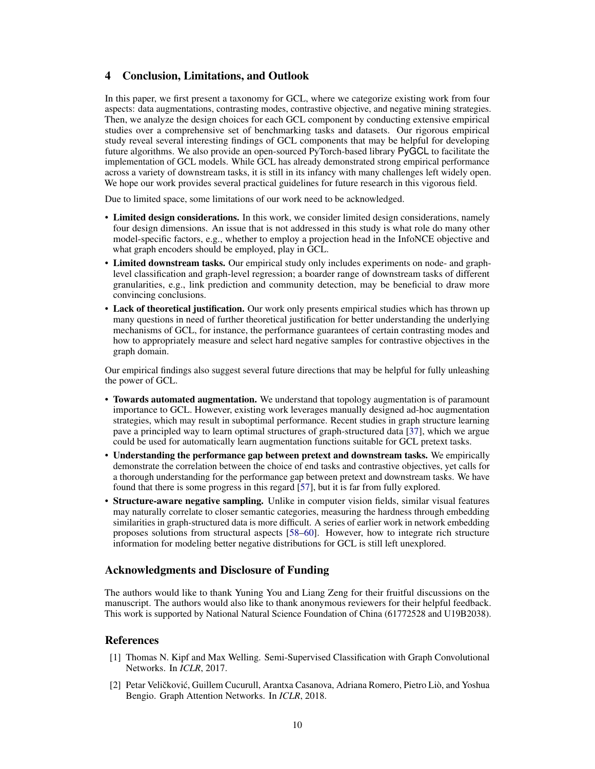## 4 Conclusion, Limitations, and Outlook

In this paper, we first present a taxonomy for GCL, where we categorize existing work from four aspects: data augmentations, contrasting modes, contrastive objective, and negative mining strategies. Then, we analyze the design choices for each GCL component by conducting extensive empirical studies over a comprehensive set of benchmarking tasks and datasets. Our rigorous empirical study reveal several interesting findings of GCL components that may be helpful for developing future algorithms. We also provide an open-sourced PyTorch-based library PyGCL to facilitate the implementation of GCL models. While GCL has already demonstrated strong empirical performance across a variety of downstream tasks, it is still in its infancy with many challenges left widely open. We hope our work provides several practical guidelines for future research in this vigorous field.

Due to limited space, some limitations of our work need to be acknowledged.

- Limited design considerations. In this work, we consider limited design considerations, namely four design dimensions. An issue that is not addressed in this study is what role do many other model-specific factors, e.g., whether to employ a projection head in the InfoNCE objective and what graph encoders should be employed, play in GCL.
- Limited downstream tasks. Our empirical study only includes experiments on node- and graphlevel classification and graph-level regression; a boarder range of downstream tasks of different granularities, e.g., link prediction and community detection, may be beneficial to draw more convincing conclusions.
- Lack of theoretical justification. Our work only presents empirical studies which has thrown up many questions in need of further theoretical justification for better understanding the underlying mechanisms of GCL, for instance, the performance guarantees of certain contrasting modes and how to appropriately measure and select hard negative samples for contrastive objectives in the graph domain.

Our empirical findings also suggest several future directions that may be helpful for fully unleashing the power of GCL.

- Towards automated augmentation. We understand that topology augmentation is of paramount importance to GCL. However, existing work leverages manually designed ad-hoc augmentation strategies, which may result in suboptimal performance. Recent studies in graph structure learning pave a principled way to learn optimal structures of graph-structured data [\[37\]](#page-11-14), which we argue could be used for automatically learn augmentation functions suitable for GCL pretext tasks.
- Understanding the performance gap between pretext and downstream tasks. We empirically demonstrate the correlation between the choice of end tasks and contrastive objectives, yet calls for a thorough understanding for the performance gap between pretext and downstream tasks. We have found that there is some progress in this regard [\[57\]](#page-12-10), but it is far from fully explored.
- Structure-aware negative sampling. Unlike in computer vision fields, similar visual features may naturally correlate to closer semantic categories, measuring the hardness through embedding similarities in graph-structured data is more difficult. A series of earlier work in network embedding proposes solutions from structural aspects [\[58–](#page-12-11)[60\]](#page-12-12). However, how to integrate rich structure information for modeling better negative distributions for GCL is still left unexplored.

## Acknowledgments and Disclosure of Funding

The authors would like to thank Yuning You and Liang Zeng for their fruitful discussions on the manuscript. The authors would also like to thank anonymous reviewers for their helpful feedback. This work is supported by National Natural Science Foundation of China (61772528 and U19B2038).

## References

- <span id="page-9-0"></span>[1] Thomas N. Kipf and Max Welling. Semi-Supervised Classification with Graph Convolutional Networks. In *ICLR*, 2017.
- <span id="page-9-1"></span>[2] Petar Veličković, Guillem Cucurull, Arantxa Casanova, Adriana Romero, Pietro Liò, and Yoshua Bengio. Graph Attention Networks. In *ICLR*, 2018.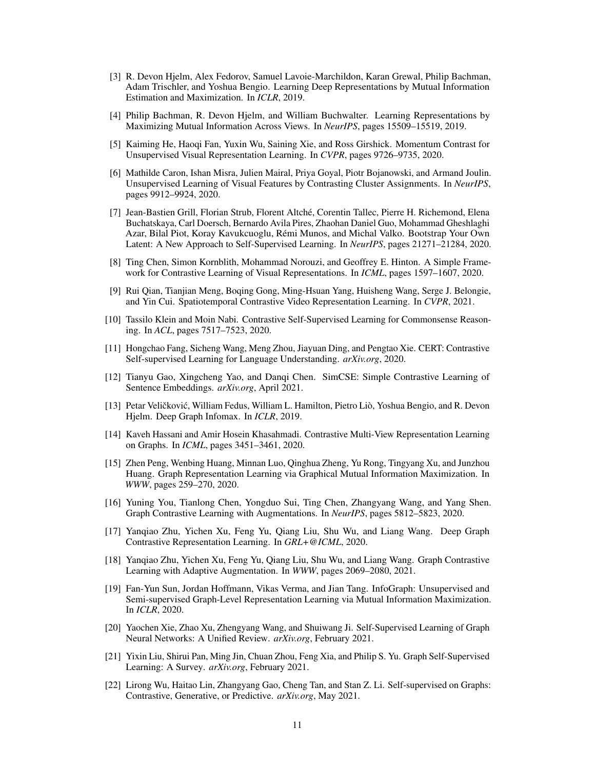- <span id="page-10-0"></span>[3] R. Devon Hjelm, Alex Fedorov, Samuel Lavoie-Marchildon, Karan Grewal, Philip Bachman, Adam Trischler, and Yoshua Bengio. Learning Deep Representations by Mutual Information Estimation and Maximization. In *ICLR*, 2019.
- <span id="page-10-13"></span>[4] Philip Bachman, R. Devon Hjelm, and William Buchwalter. Learning Representations by Maximizing Mutual Information Across Views. In *NeurIPS*, pages 15509–15519, 2019.
- <span id="page-10-12"></span>[5] Kaiming He, Haoqi Fan, Yuxin Wu, Saining Xie, and Ross Girshick. Momentum Contrast for Unsupervised Visual Representation Learning. In *CVPR*, pages 9726–9735, 2020.
- [6] Mathilde Caron, Ishan Misra, Julien Mairal, Priya Goyal, Piotr Bojanowski, and Armand Joulin. Unsupervised Learning of Visual Features by Contrasting Cluster Assignments. In *NeurIPS*, pages 9912–9924, 2020.
- <span id="page-10-14"></span>[7] Jean-Bastien Grill, Florian Strub, Florent Altché, Corentin Tallec, Pierre H. Richemond, Elena Buchatskaya, Carl Doersch, Bernardo Avila Pires, Zhaohan Daniel Guo, Mohammad Gheshlaghi Azar, Bilal Piot, Koray Kavukcuoglu, Rémi Munos, and Michal Valko. Bootstrap Your Own Latent: A New Approach to Self-Supervised Learning. In *NeurIPS*, pages 21271–21284, 2020.
- <span id="page-10-11"></span>[8] Ting Chen, Simon Kornblith, Mohammad Norouzi, and Geoffrey E. Hinton. A Simple Framework for Contrastive Learning of Visual Representations. In *ICML*, pages 1597–1607, 2020.
- [9] Rui Qian, Tianjian Meng, Boqing Gong, Ming-Hsuan Yang, Huisheng Wang, Serge J. Belongie, and Yin Cui. Spatiotemporal Contrastive Video Representation Learning. In *CVPR*, 2021.
- [10] Tassilo Klein and Moin Nabi. Contrastive Self-Supervised Learning for Commonsense Reasoning. In *ACL*, pages 7517–7523, 2020.
- [11] Hongchao Fang, Sicheng Wang, Meng Zhou, Jiayuan Ding, and Pengtao Xie. CERT: Contrastive Self-supervised Learning for Language Understanding. *arXiv.org*, 2020.
- <span id="page-10-1"></span>[12] Tianyu Gao, Xingcheng Yao, and Danqi Chen. SimCSE: Simple Contrastive Learning of Sentence Embeddings. *arXiv.org*, April 2021.
- <span id="page-10-2"></span>[13] Petar Veličković, William Fedus, William L. Hamilton, Pietro Liò, Yoshua Bengio, and R. Devon Hjelm. Deep Graph Infomax. In *ICLR*, 2019.
- <span id="page-10-7"></span>[14] Kaveh Hassani and Amir Hosein Khasahmadi. Contrastive Multi-View Representation Learning on Graphs. In *ICML*, pages 3451–3461, 2020.
- <span id="page-10-6"></span>[15] Zhen Peng, Wenbing Huang, Minnan Luo, Qinghua Zheng, Yu Rong, Tingyang Xu, and Junzhou Huang. Graph Representation Learning via Graphical Mutual Information Maximization. In *WWW*, pages 259–270, 2020.
- <span id="page-10-8"></span>[16] Yuning You, Tianlong Chen, Yongduo Sui, Ting Chen, Zhangyang Wang, and Yang Shen. Graph Contrastive Learning with Augmentations. In *NeurIPS*, pages 5812–5823, 2020.
- <span id="page-10-9"></span>[17] Yanqiao Zhu, Yichen Xu, Feng Yu, Qiang Liu, Shu Wu, and Liang Wang. Deep Graph Contrastive Representation Learning. In *GRL+@ICML*, 2020.
- <span id="page-10-10"></span>[18] Yanqiao Zhu, Yichen Xu, Feng Yu, Qiang Liu, Shu Wu, and Liang Wang. Graph Contrastive Learning with Adaptive Augmentation. In *WWW*, pages 2069–2080, 2021.
- <span id="page-10-3"></span>[19] Fan-Yun Sun, Jordan Hoffmann, Vikas Verma, and Jian Tang. InfoGraph: Unsupervised and Semi-supervised Graph-Level Representation Learning via Mutual Information Maximization. In *ICLR*, 2020.
- <span id="page-10-4"></span>[20] Yaochen Xie, Zhao Xu, Zhengyang Wang, and Shuiwang Ji. Self-Supervised Learning of Graph Neural Networks: A Unified Review. *arXiv.org*, February 2021.
- [21] Yixin Liu, Shirui Pan, Ming Jin, Chuan Zhou, Feng Xia, and Philip S. Yu. Graph Self-Supervised Learning: A Survey. *arXiv.org*, February 2021.
- <span id="page-10-5"></span>[22] Lirong Wu, Haitao Lin, Zhangyang Gao, Cheng Tan, and Stan Z. Li. Self-supervised on Graphs: Contrastive, Generative, or Predictive. *arXiv.org*, May 2021.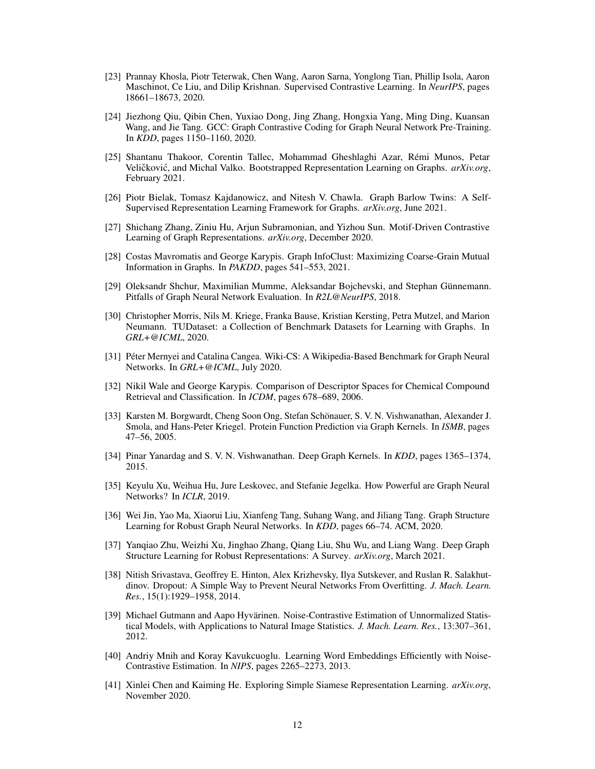- <span id="page-11-0"></span>[23] Prannay Khosla, Piotr Teterwak, Chen Wang, Aaron Sarna, Yonglong Tian, Phillip Isola, Aaron Maschinot, Ce Liu, and Dilip Krishnan. Supervised Contrastive Learning. In *NeurIPS*, pages 18661–18673, 2020.
- <span id="page-11-1"></span>[24] Jiezhong Qiu, Qibin Chen, Yuxiao Dong, Jing Zhang, Hongxia Yang, Ming Ding, Kuansan Wang, and Jie Tang. GCC: Graph Contrastive Coding for Graph Neural Network Pre-Training. In *KDD*, pages 1150–1160, 2020.
- <span id="page-11-2"></span>[25] Shantanu Thakoor, Corentin Tallec, Mohammad Gheshlaghi Azar, Rémi Munos, Petar Veličković, and Michal Valko. Bootstrapped Representation Learning on Graphs.  $arXiv.org$ , February 2021.
- <span id="page-11-3"></span>[26] Piotr Bielak, Tomasz Kajdanowicz, and Nitesh V. Chawla. Graph Barlow Twins: A Self-Supervised Representation Learning Framework for Graphs. *arXiv.org*, June 2021.
- <span id="page-11-4"></span>[27] Shichang Zhang, Ziniu Hu, Arjun Subramonian, and Yizhou Sun. Motif-Driven Contrastive Learning of Graph Representations. *arXiv.org*, December 2020.
- <span id="page-11-5"></span>[28] Costas Mavromatis and George Karypis. Graph InfoClust: Maximizing Coarse-Grain Mutual Information in Graphs. In *PAKDD*, pages 541–553, 2021.
- <span id="page-11-6"></span>[29] Oleksandr Shchur, Maximilian Mumme, Aleksandar Bojchevski, and Stephan Günnemann. Pitfalls of Graph Neural Network Evaluation. In *R2L@NeurIPS*, 2018.
- <span id="page-11-7"></span>[30] Christopher Morris, Nils M. Kriege, Franka Bause, Kristian Kersting, Petra Mutzel, and Marion Neumann. TUDataset: a Collection of Benchmark Datasets for Learning with Graphs. In *GRL+@ICML*, 2020.
- <span id="page-11-8"></span>[31] Péter Mernyei and Catalina Cangea. Wiki-CS: A Wikipedia-Based Benchmark for Graph Neural Networks. In *GRL+@ICML*, July 2020.
- <span id="page-11-9"></span>[32] Nikil Wale and George Karypis. Comparison of Descriptor Spaces for Chemical Compound Retrieval and Classification. In *ICDM*, pages 678–689, 2006.
- <span id="page-11-10"></span>[33] Karsten M. Borgwardt, Cheng Soon Ong, Stefan Schönauer, S. V. N. Vishwanathan, Alexander J. Smola, and Hans-Peter Kriegel. Protein Function Prediction via Graph Kernels. In *ISMB*, pages 47–56, 2005.
- <span id="page-11-11"></span>[34] Pinar Yanardag and S. V. N. Vishwanathan. Deep Graph Kernels. In *KDD*, pages 1365–1374, 2015.
- <span id="page-11-12"></span>[35] Keyulu Xu, Weihua Hu, Jure Leskovec, and Stefanie Jegelka. How Powerful are Graph Neural Networks? In *ICLR*, 2019.
- <span id="page-11-13"></span>[36] Wei Jin, Yao Ma, Xiaorui Liu, Xianfeng Tang, Suhang Wang, and Jiliang Tang. Graph Structure Learning for Robust Graph Neural Networks. In *KDD*, pages 66–74. ACM, 2020.
- <span id="page-11-14"></span>[37] Yanqiao Zhu, Weizhi Xu, Jinghao Zhang, Qiang Liu, Shu Wu, and Liang Wang. Deep Graph Structure Learning for Robust Representations: A Survey. *arXiv.org*, March 2021.
- <span id="page-11-15"></span>[38] Nitish Srivastava, Geoffrey E. Hinton, Alex Krizhevsky, Ilya Sutskever, and Ruslan R. Salakhutdinov. Dropout: A Simple Way to Prevent Neural Networks From Overfitting. *J. Mach. Learn. Res.*, 15(1):1929–1958, 2014.
- <span id="page-11-16"></span>[39] Michael Gutmann and Aapo Hyvärinen. Noise-Contrastive Estimation of Unnormalized Statistical Models, with Applications to Natural Image Statistics. *J. Mach. Learn. Res.*, 13:307–361, 2012.
- <span id="page-11-17"></span>[40] Andriy Mnih and Koray Kavukcuoglu. Learning Word Embeddings Efficiently with Noise-Contrastive Estimation. In *NIPS*, pages 2265–2273, 2013.
- <span id="page-11-18"></span>[41] Xinlei Chen and Kaiming He. Exploring Simple Siamese Representation Learning. *arXiv.org*, November 2020.